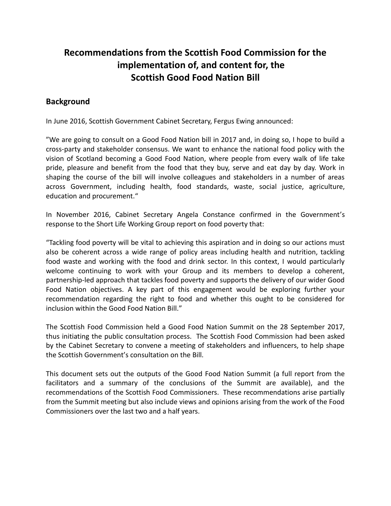# **Recommendations from the Scottish Food Commission for the implementation of, and content for, the Scottish Good Food Nation Bill**

# **Background**

In June 2016, Scottish Government Cabinet Secretary, Fergus Ewing announced:

"We are going to consult on a Good Food Nation bill in 2017 and, in doing so, I hope to build a cross-party and stakeholder consensus. We want to enhance the national food policy with the vision of Scotland becoming a Good Food Nation, where people from every walk of life take pride, pleasure and benefit from the food that they buy, serve and eat day by day. Work in shaping the course of the bill will involve colleagues and stakeholders in a number of areas across Government, including health, food standards, waste, social justice, agriculture, education and procurement."

In November 2016, Cabinet Secretary Angela Constance confirmed in the Government's response to the Short Life Working Group report on food poverty that:

"Tackling food poverty will be vital to achieving this aspiration and in doing so our actions must also be coherent across a wide range of policy areas including health and nutrition, tackling food waste and working with the food and drink sector. In this context, I would particularly welcome continuing to work with your Group and its members to develop a coherent, partnership-led approach that tackles food poverty and supports the delivery of our wider Good Food Nation objectives. A key part of this engagement would be exploring further your recommendation regarding the right to food and whether this ought to be considered for inclusion within the Good Food Nation Bill."

The Scottish Food Commission held a Good Food Nation Summit on the 28 September 2017, thus initiating the public consultation process. The Scottish Food Commission had been asked by the Cabinet Secretary to convene a meeting of stakeholders and influencers, to help shape the Scottish Government's consultation on the Bill.

This document sets out the outputs of the Good Food Nation Summit (a full report from the facilitators and a summary of the conclusions of the Summit are available), and the recommendations of the Scottish Food Commissioners. These recommendations arise partially from the Summit meeting but also include views and opinions arising from the work of the Food Commissioners over the last two and a half years.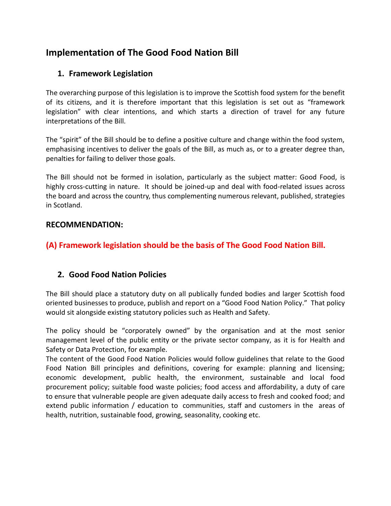# **Implementation of The Good Food Nation Bill**

# **1. Framework Legislation**

The overarching purpose of this legislation is to improve the Scottish food system for the benefit of its citizens, and it is therefore important that this legislation is set out as "framework legislation" with clear intentions, and which starts a direction of travel for any future interpretations of the Bill.

The "spirit" of the Bill should be to define a positive culture and change within the food system, emphasising incentives to deliver the goals of the Bill, as much as, or to a greater degree than, penalties for failing to deliver those goals.

The Bill should not be formed in isolation, particularly as the subject matter: Good Food, is highly cross-cutting in nature. It should be joined-up and deal with food-related issues across the board and across the country, thus complementing numerous relevant, published, strategies in Scotland.

## **RECOMMENDATION:**

# **(A) Framework legislation should be the basis of The Good Food Nation Bill.**

# **2. Good Food Nation Policies**

The Bill should place a statutory duty on all publically funded bodies and larger Scottish food oriented businesses to produce, publish and report on a "Good Food Nation Policy." That policy would sit alongside existing statutory policies such as Health and Safety.

The policy should be "corporately owned" by the organisation and at the most senior management level of the public entity or the private sector company, as it is for Health and Safety or Data Protection, for example.

The content of the Good Food Nation Policies would follow guidelines that relate to the Good Food Nation Bill principles and definitions, covering for example: planning and licensing; economic development, public health, the environment, sustainable and local food procurement policy; suitable food waste policies; food access and affordability, a duty of care to ensure that vulnerable people are given adequate daily access to fresh and cooked food; and extend public information / education to communities, staff and customers in the areas of health, nutrition, sustainable food, growing, seasonality, cooking etc.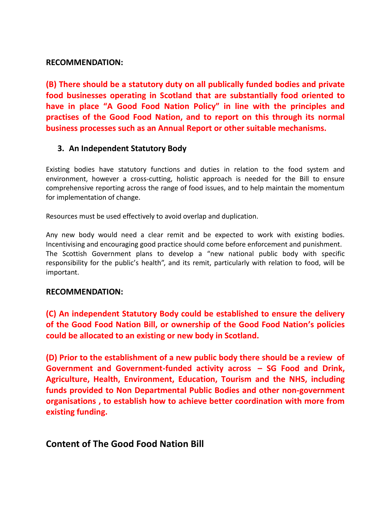### **RECOMMENDATION:**

**(B) There should be a statutory duty on all publically funded bodies and private food businesses operating in Scotland that are substantially food oriented to have in place "A Good Food Nation Policy" in line with the principles and practises of the Good Food Nation, and to report on this through its normal business processes such as an Annual Report or other suitable mechanisms.**

### **3. An Independent Statutory Body**

Existing bodies have statutory functions and duties in relation to the food system and environment, however a cross-cutting, holistic approach is needed for the Bill to ensure comprehensive reporting across the range of food issues, and to help maintain the momentum for implementation of change.

Resources must be used effectively to avoid overlap and duplication.

Any new body would need a clear remit and be expected to work with existing bodies. Incentivising and encouraging good practice should come before enforcement and punishment. The Scottish Government plans to develop a "new national public body with specific responsibility for the public's health", and its remit, particularly with relation to food, will be important.

#### **RECOMMENDATION:**

**(C) An independent Statutory Body could be established to ensure the delivery of the Good Food Nation Bill, or ownership of the Good Food Nation's policies could be allocated to an existing or new body in Scotland.**

**(D) Prior to the establishment of a new public body there should be a review of Government and Government-funded activity across – SG Food and Drink, Agriculture, Health, Environment, Education, Tourism and the NHS, including funds provided to Non Departmental Public Bodies and other non-government organisations , to establish how to achieve better coordination with more from existing funding.**

# **Content of The Good Food Nation Bill**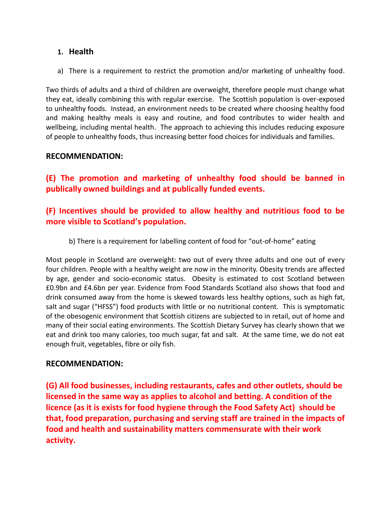## **1. Health**

a) There is a requirement to restrict the promotion and/or marketing of unhealthy food.

Two thirds of adults and a third of children are overweight, therefore people must change what they eat, ideally combining this with regular exercise. The Scottish population is over-exposed to unhealthy foods. Instead, an environment needs to be created where choosing healthy food and making healthy meals is easy and routine, and food contributes to wider health and wellbeing, including mental health. The approach to achieving this includes reducing exposure of people to unhealthy foods, thus increasing better food choices for individuals and families.

### **RECOMMENDATION:**

**(E) The promotion and marketing of unhealthy food should be banned in publically owned buildings and at publically funded events.** 

# **(F) Incentives should be provided to allow healthy and nutritious food to be more visible to Scotland's population.**

#### b) There is a requirement for labelling content of food for "out-of-home" eating

Most people in Scotland are overweight: two out of every three adults and one out of every four children. People with a healthy weight are now in the minority. Obesity trends are affected by age, gender and socio-economic status. Obesity is estimated to cost Scotland between £0.9bn and £4.6bn per year. Evidence from Food Standards Scotland also shows that food and drink consumed away from the home is skewed towards less healthy options, such as high fat, salt and sugar ("HFSS") food products with little or no nutritional content. This is symptomatic of the obesogenic environment that Scottish citizens are subjected to in retail, out of home and many of their social eating environments. The Scottish Dietary Survey has clearly shown that we eat and drink too many calories, too much sugar, fat and salt. At the same time, we do not eat enough fruit, vegetables, fibre or oily fish.

#### **RECOMMENDATION:**

**(G) All food businesses, including restaurants, cafes and other outlets, should be licensed in the same way as applies to alcohol and betting. A condition of the licence (as it is exists for food hygiene through the Food Safety Act) should be that, food preparation, purchasing and serving staff are trained in the impacts of food and health and sustainability matters commensurate with their work activity.**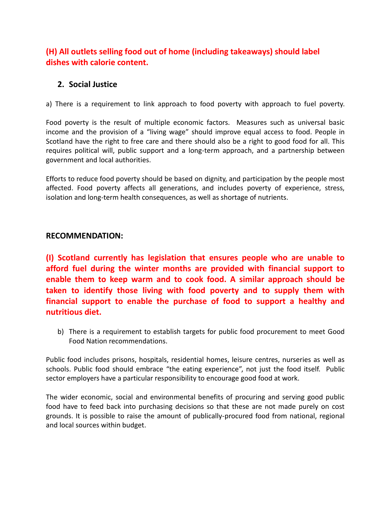# **(H) All outlets selling food out of home (including takeaways) should label dishes with calorie content.**

## **2. Social Justice**

a) There is a requirement to link approach to food poverty with approach to fuel poverty.

Food poverty is the result of multiple economic factors. Measures such as universal basic income and the provision of a "living wage" should improve equal access to food. People in Scotland have the right to free care and there should also be a right to good food for all. This requires political will, public support and a long-term approach, and a partnership between government and local authorities.

Efforts to reduce food poverty should be based on dignity, and participation by the people most affected. Food poverty affects all generations, and includes poverty of experience, stress, isolation and long-term health consequences, as well as shortage of nutrients.

#### **RECOMMENDATION:**

**(I) Scotland currently has legislation that ensures people who are unable to afford fuel during the winter months are provided with financial support to enable them to keep warm and to cook food. A similar approach should be taken to identify those living with food poverty and to supply them with financial support to enable the purchase of food to support a healthy and nutritious diet.**

b) There is a requirement to establish targets for public food procurement to meet Good Food Nation recommendations.

Public food includes prisons, hospitals, residential homes, leisure centres, nurseries as well as schools. Public food should embrace "the eating experience", not just the food itself. Public sector employers have a particular responsibility to encourage good food at work.

The wider economic, social and environmental benefits of procuring and serving good public food have to feed back into purchasing decisions so that these are not made purely on cost grounds. It is possible to raise the amount of publically-procured food from national, regional and local sources within budget.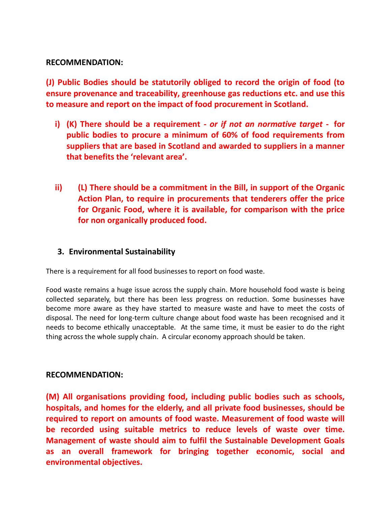### **RECOMMENDATION:**

**(J) Public Bodies should be statutorily obliged to record the origin of food (to ensure provenance and traceability, greenhouse gas reductions etc. and use this to measure and report on the impact of food procurement in Scotland.** 

- **i) (K) There should be a requirement** *- or if not an normative target* **- for public bodies to procure a minimum of 60% of food requirements from suppliers that are based in Scotland and awarded to suppliers in a manner that benefits the 'relevant area'.**
- **ii) (L) There should be a commitment in the Bill, in support of the Organic Action Plan, to require in procurements that tenderers offer the price for Organic Food, where it is available, for comparison with the price for non organically produced food.**

## **3. Environmental Sustainability**

There is a requirement for all food businesses to report on food waste.

Food waste remains a huge issue across the supply chain. More household food waste is being collected separately, but there has been less progress on reduction. Some businesses have become more aware as they have started to measure waste and have to meet the costs of disposal. The need for long-term culture change about food waste has been recognised and it needs to become ethically unacceptable. At the same time, it must be easier to do the right thing across the whole supply chain. A circular economy approach should be taken.

#### **RECOMMENDATION:**

**(M) All organisations providing food, including public bodies such as schools, hospitals, and homes for the elderly, and all private food businesses, should be required to report on amounts of food waste. Measurement of food waste will be recorded using suitable metrics to reduce levels of waste over time. Management of waste should aim to fulfil the Sustainable Development Goals as an overall framework for bringing together economic, social and environmental objectives.**